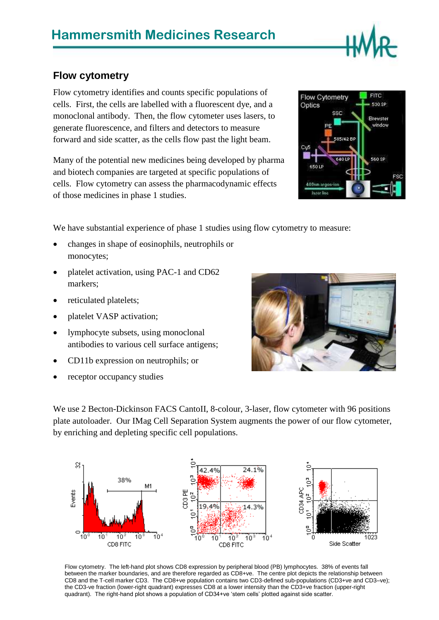## **Hammersmith Medicines Research**

## **Flow cytometry**

Flow cytometry identifies and counts specific populations of cells. First, the cells are labelled with a fluorescent dye, and a monoclonal antibody. Then, the flow cytometer uses lasers, to generate fluorescence, and filters and detectors to measure forward and side scatter, as the cells flow past the light beam.

Many of the potential new medicines being developed by pharma and biotech companies are targeted at specific populations of cells. Flow cytometry can assess the pharmacodynamic effects of those medicines in phase 1 studies.

We have substantial experience of phase 1 studies using flow cytometry to measure:

- changes in shape of eosinophils, neutrophils or monocytes;
- platelet activation, using PAC-1 and CD62 markers;
- reticulated platelets;
- platelet VASP activation;
- lymphocyte subsets, using monoclonal antibodies to various cell surface antigens;
- CD11b expression on neutrophils; or
- receptor occupancy studies

We use 2 Becton-Dickinson FACS CantoII, 8-colour, 3-laser, flow cytometer with 96 positions plate autoloader. Our IMag Cell Separation System augments the power of our flow cytometer, by enriching and depleting specific cell populations.



Flow cytometry. The left-hand plot shows CD8 expression by peripheral blood (PB) lymphocytes. 38% of events fall between the marker boundaries, and are therefore regarded as CD8+ve. The centre plot depicts the relationship between CD8 and the T-cell marker CD3. The CD8+ve population contains two CD3-defined sub-populations (CD3+ve and CD3–ve); the CD3-ve fraction (lower-right quadrant) expresses CD8 at a lower intensity than the CD3+ve fraction (upper-right quadrant). The right-hand plot shows a population of CD34+ve 'stem cells' plotted against side scatter.